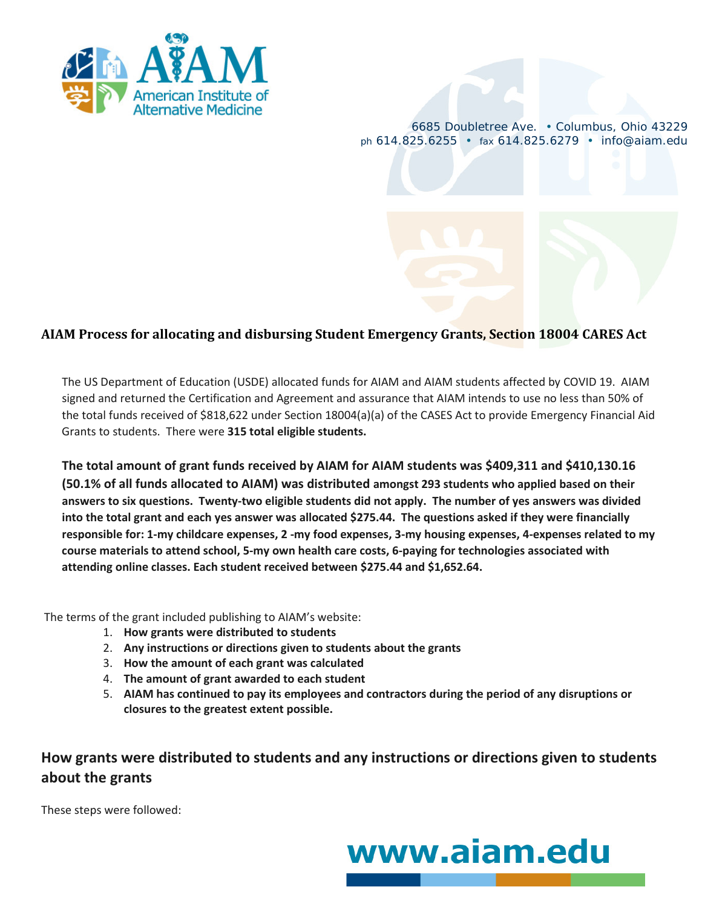

6685 Doubletree Ave. • Columbus, Ohio 43229 *ph* 614.825.6255 • *fax* 614.825.6279 • info@aiam.edu

## **AIAM Process for allocating and disbursing Student Emergency Grants, Section 18004 CARES Act**

The US Department of Education (USDE) allocated funds for AIAM and AIAM students affected by COVID 19. AIAM signed and returned the Certification and Agreement and assurance that AIAM intends to use no less than 50% of the total funds received of \$818,622 under Section 18004(a)(a) of the CASES Act to provide Emergency Financial Aid Grants to students. There were **315 total eligible students.**

**The total amount of grant funds received by AIAM for AIAM students was \$409,311 and \$410,130.16 (50.1% of all funds allocated to AIAM) was distributed amongst 293 students who applied based on their answers to six questions. Twenty-two eligible students did not apply. The number of yes answers was divided into the total grant and each yes answer was allocated \$275.44. The questions asked if they were financially responsible for: 1-my childcare expenses, 2 -my food expenses, 3-my housing expenses, 4-expenses related to my course materials to attend school, 5-my own health care costs, 6-paying for technologies associated with attending online classes. Each student received between \$275.44 and \$1,652.64.** 

The terms of the grant included publishing to AIAM's website:

- 1. **How grants were distributed to students**
- 2. **Any instructions or directions given to students about the grants**
- 3. **How the amount of each grant was calculated**
- 4. **The amount of grant awarded to each student**
- 5. **AIAM has continued to pay its employees and contractors during the period of any disruptions or closures to the greatest extent possible.**

## **How grants were distributed to students and any instructions or directions given to students about the grants**

These steps were followed:

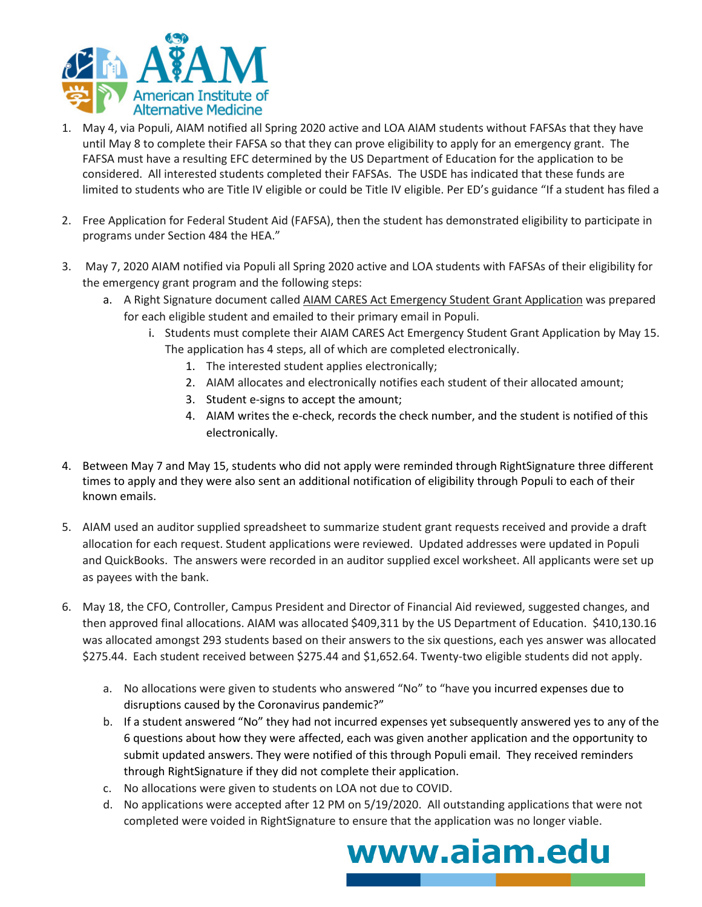

- 1. May 4, via Populi, AIAM notified all Spring 2020 active and LOA AIAM students without FAFSAs that they have until May 8 to complete their FAFSA so that they can prove eligibility to apply for an emergency grant. The FAFSA must have a resulting EFC determined by the US Department of Education for the application to be considered. All interested students completed their FAFSAs. The USDE has indicated that these funds are limited to students who are Title IV eligible or could be Title IV eligible. Per ED's guidance "If a student has filed a
- 2. Free Application for Federal Student Aid (FAFSA), then the student has demonstrated eligibility to participate in programs under Section 484 the HEA."
- 3. May 7, 2020 AIAM notified via Populi all Spring 2020 active and LOA students with FAFSAs of their eligibility for the emergency grant program and the following steps:
	- a. A Right Signature document called AIAM CARES Act Emergency Student Grant Application was prepared for each eligible student and emailed to their primary email in Populi.
		- i. Students must complete their AIAM CARES Act Emergency Student Grant Application by May 15. The application has 4 steps, all of which are completed electronically.
			- 1. The interested student applies electronically;
			- 2. AIAM allocates and electronically notifies each student of their allocated amount;
			- 3. Student e-signs to accept the amount;
			- 4. AIAM writes the e-check, records the check number, and the student is notified of this electronically.
- 4. Between May 7 and May 15, students who did not apply were reminded through RightSignature three different times to apply and they were also sent an additional notification of eligibility through Populi to each of their known emails.
- 5. AIAM used an auditor supplied spreadsheet to summarize student grant requests received and provide a draft allocation for each request. Student applications were reviewed. Updated addresses were updated in Populi and QuickBooks. The answers were recorded in an auditor supplied excel worksheet. All applicants were set up as payees with the bank.
- 6. May 18, the CFO, Controller, Campus President and Director of Financial Aid reviewed, suggested changes, and then approved final allocations. AIAM was allocated \$409,311 by the US Department of Education. \$410,130.16 was allocated amongst 293 students based on their answers to the six questions, each yes answer was allocated \$275.44. Each student received between \$275.44 and \$1,652.64. Twenty-two eligible students did not apply.
	- a. No allocations were given to students who answered "No" to "have you incurred expenses due to disruptions caused by the Coronavirus pandemic?"
	- b. If a student answered "No" they had not incurred expenses yet subsequently answered yes to any of the 6 questions about how they were affected, each was given another application and the opportunity to submit updated answers. They were notified of this through Populi email. They received reminders through RightSignature if they did not complete their application.
	- c. No allocations were given to students on LOA not due to COVID.
	- d. No applications were accepted after 12 PM on 5/19/2020. All outstanding applications that were not completed were voided in RightSignature to ensure that the application was no longer viable.

www.aiam.edu